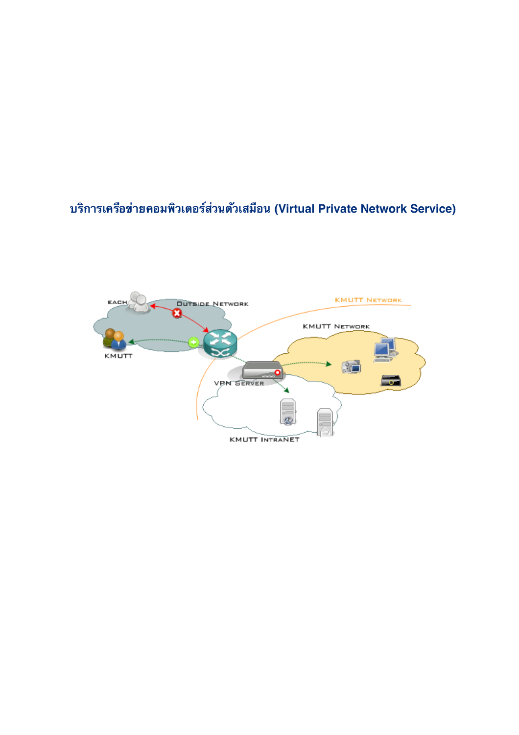## บริการเครือข่ายคอมพิวเตอร์ส่วนตัวเสมือน (Virtual Private Network Service)

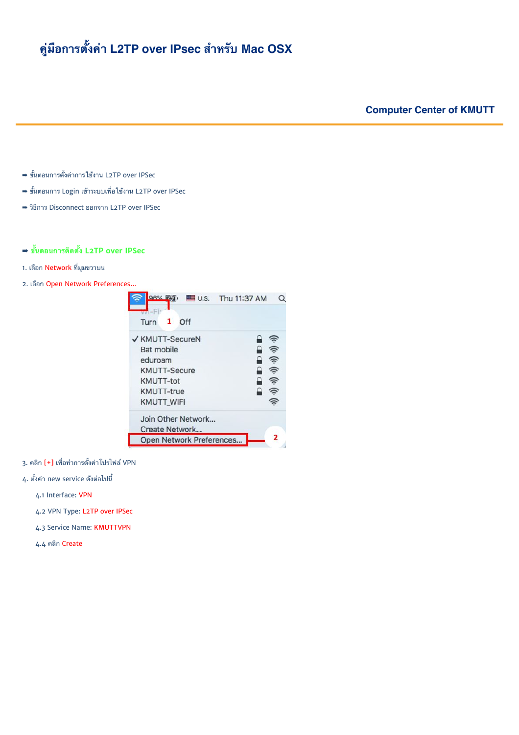## คู่มือการตั้งค่า L2TP over IPsec สำหรับ Mac OSX

## **Computer Center of KMUTT**

- ➡ ขั้นตอนการตั้งค่าการใช้งาน L2TP over IPSec
- ⇒ ขั้นตอนการ Login เข้าระบบเพื่อใช้งาน L2TP over IPSec
- → วิธีการ Disconnect ออกจาก L2TP over IPSec

## → ขั้นตอนการติดตั้ง L2TP over IPSec

- 1. เลือก Network ที่มมขวาบน
- 2. เลือก Open Network Preferences...



- 3. คลิก [+] เพื่อทำการตั้งค่าโปรไฟล์ VPN
- 4. ตั้งค่า new service ดังต่อไปนี้
	- 4.1 Interface: VPN
	- 4.2 VPN Type: L2TP over IPSec
	- 4.3 Service Name: KMUTTVPN
	- 4.4 คลิก Create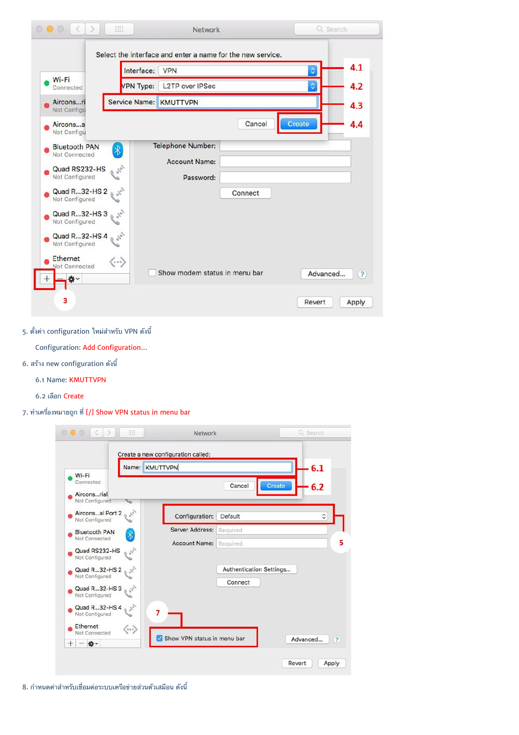|                                                                                                                                                                                   | Interface:                            | <b>VPN</b>                                                               | ़                  | 4.1        |
|-----------------------------------------------------------------------------------------------------------------------------------------------------------------------------------|---------------------------------------|--------------------------------------------------------------------------|--------------------|------------|
| Wi-Fi<br>Connected                                                                                                                                                                | VPN Type:                             | <b>L2TP</b> over IPSec                                                   | $\hat{\mathbf{z}}$ | 4.2        |
| Airconsri<br>Not Configu                                                                                                                                                          | Service Name: KMUTTVPN                |                                                                          |                    | 4.3        |
| Airconsa<br>Not Configu                                                                                                                                                           |                                       |                                                                          | Create<br>Cancel   | 4.4        |
| <b>Bluetooth PAN</b><br>Not Connected<br>Quad RS232-HS<br>Not Configured<br>Quad R32-HS 2<br>Not Configured<br>Quad R32-HS 3<br>Not Configured<br>Quad R32-HS 4<br>Not Configured | $\ast$<br>0101<br>$\sigma_{\chi_{0}}$ | <b>Telephone Number:</b><br><b>Account Name:</b><br>Password:<br>Connect |                    |            |
| <b>Ethernet</b><br>Not Connected<br>☆↓                                                                                                                                            | $\langle\cdot\cdot\cdot\rangle$       | Show modem status in menu bar                                            | Advanced           | $\left($ ? |

5. ตั้งค่า configuration ใหม่สำหรับ VPN ดังนี้

Configuration: Add Configuration…

- 6. สร้าง new configuration ดังนี้
	- 6.1 Name: KMUTTVPN
	- 6.2 เลือก Create

 $7.$  ทำเครื่องหมายถูก ที่ [/] Show VPN status in menu bar

|                                                          | Name: KMUTTVPN       | 6.1                     |
|----------------------------------------------------------|----------------------|-------------------------|
| Wi-Fi                                                    |                      |                         |
| Connected                                                |                      | Cancel<br>Create<br>6.2 |
| Airconsrial<br>Not Configured                            |                      |                         |
| Airconsal Port 2<br>36.<br>Not Configured                | Configuration:       | ≎<br>Default            |
| <b>Bluetooth PAN</b><br>$\overline{\ast}$                | Server Address:      | Required                |
| Not Connected                                            | <b>Account Name:</b> | Required                |
| $\sigma_{\chi_0}$<br>Quad RS232-HS<br>Not Configured     |                      |                         |
| Quad R32-HS 2<br>$\mathfrak{g}^{\mathfrak{c}^{\lambda}}$ |                      | Authentication Settings |
| Not Configured                                           |                      | Connect                 |
| Quad R32-HS 3<br>Not Configured                          |                      |                         |
| Quad R32-HS 4 $_6$ s <sup>ov</sup><br>Not Configured     | 7                    |                         |
|                                                          |                      |                         |
|                                                          |                      |                         |

8. กำหนดค่าสำหรับเชื่อมต่อระบบเครือข่ายส่วนตัวเสมือน ดังนี้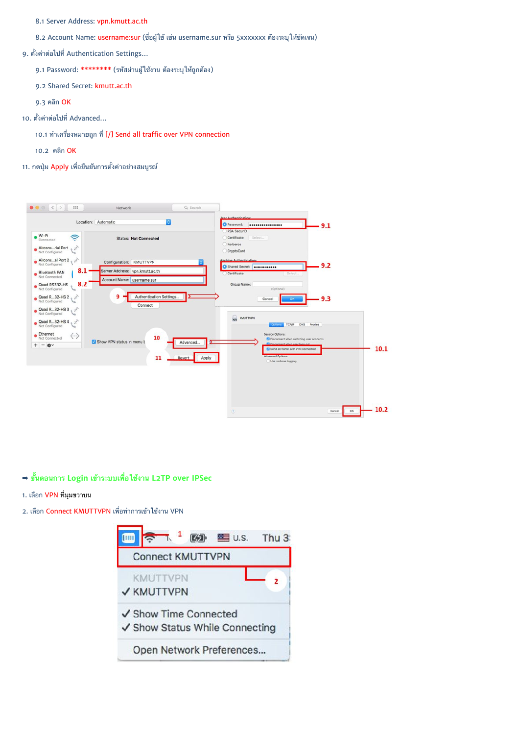8.1 Server Address: vpn.kmutt.ac.th

8.2 Account Name: username:sur (ชื่อผู้ใช้ เช่น username.sur หรือ 5xxxxxxx ต้องระบุให้ชัดเจน)

9. ตั้งค่าต่อไปที่ Authentication Settings...

9.1 Password: \*\*\*\*\*\*\*\* (รหัสผ่านผู้ใช้งาน ต้องระบุให้ถูกต้อง)

9.2 Shared Secret: kmutt.ac.th

 $9.3$  คลิก  $OK$ 

10. ตั้งค่าต่อไปที่ Advanced...

10.1 ทำเครื่องหมายถูก ที่ [/] Send all traffic over VPN connection

10.2 คลิก  $OK$ 

11. กดปุ่ม Apply เพื่อยืนยันการตั้งค่าอย่างสมบูรณ์



<span id="page-3-0"></span> $\rightarrow$  ขั้นตอนการ Login เข้าระบบเพื่อใช้งาน L2TP over IPSec

1. เลือก VPN ที่มมขวาบน

2. เลือก Connect KMUTTVPN เพื่อทำการเข้าใช้งาน VPN